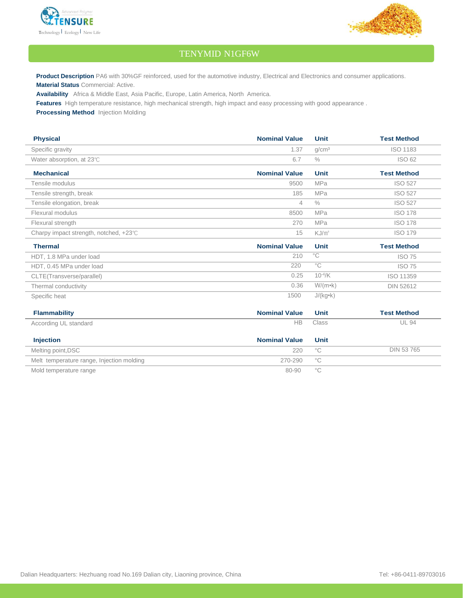



## TENYMID N1GF6W

**Product Description** PA6 with 30%GF reinforced, used for the automotive industry, Electrical and Electronics and consumer applications. **Material Status** Commercial: Active.

**Availability** Africa & Middle East, Asia Pacific, Europe, Latin America, North America.

**Features** High temperature resistance, high mechanical strength, high impact and easy processing with good appearance .

Specific heat 1500 J/(kg•k)

**Processing Method** Injection Molding

| <b>Physical</b>                        | <b>Nominal Value</b> | <b>Unit</b>       | <b>Test Method</b> |
|----------------------------------------|----------------------|-------------------|--------------------|
| Specific gravity                       | 1.37                 | q/cm <sup>3</sup> | <b>ISO 1183</b>    |
| Water absorption, at 23°C              | 6.7                  | $\%$              | <b>ISO 62</b>      |
| <b>Mechanical</b>                      | <b>Nominal Value</b> | <b>Unit</b>       | <b>Test Method</b> |
| Tensile modulus                        | 9500                 | <b>MPa</b>        | <b>ISO 527</b>     |
| Tensile strength, break                | 185                  | <b>MPa</b>        | <b>ISO 527</b>     |
| Tensile elongation, break              | 4                    | $\%$              | <b>ISO 527</b>     |
| Flexural modulus                       | 8500                 | <b>MPa</b>        | <b>ISO 178</b>     |
| Flexural strength                      | 270                  | <b>MPa</b>        | <b>ISO 178</b>     |
| Charpy impact strength, notched, +23°C | 15                   | KJ/m <sup>2</sup> | <b>ISO 179</b>     |
| <b>Thermal</b>                         | <b>Nominal Value</b> | Unit              | <b>Test Method</b> |
| HDT, 1.8 MPa under load                | 210                  | $^{\circ}C$       | <b>ISO 75</b>      |
| HDT, 0.45 MPa under load               | 220                  | $^{\circ}$ C      | <b>ISO 75</b>      |
| CLTE(Transverse/parallel)              | 0.25                 | $10^{-4}/K$       | ISO 11359          |
| Thermal conductivity                   | 0.36                 | $W/(m \cdot k)$   | <b>DIN 52612</b>   |

| <b>Flammability</b>                       | <b>Nominal Value</b> | Unit              | <b>Test Method</b> |
|-------------------------------------------|----------------------|-------------------|--------------------|
| According UL standard                     | НB                   | Class             | <b>UL 94</b>       |
| <b>Injection</b>                          | <b>Nominal Value</b> | Unit              |                    |
| Melting point, DSC                        | 220                  | $^{\circ}{\rm C}$ | DIN 53 765         |
| Melt temperature range, Injection molding | 270-290              | $^{\circ}$ C      |                    |
| Mold temperature range                    | 80-90                | ்С                |                    |